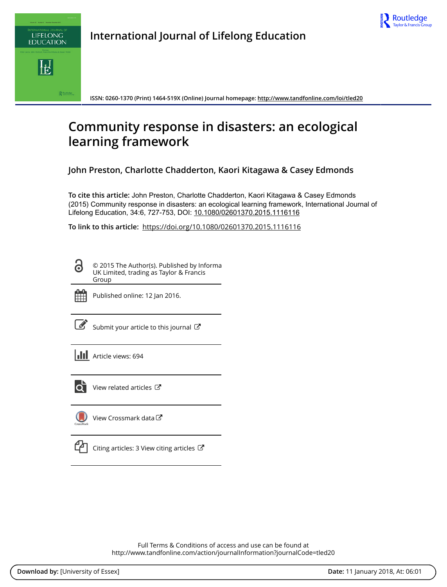



**International Journal of Lifelong Education**

**ISSN: 0260-1370 (Print) 1464-519X (Online) Journal homepage: <http://www.tandfonline.com/loi/tled20>**

# **Community response in disasters: an ecological learning framework**

**John Preston, Charlotte Chadderton, Kaori Kitagawa & Casey Edmonds**

**To cite this article:** John Preston, Charlotte Chadderton, Kaori Kitagawa & Casey Edmonds (2015) Community response in disasters: an ecological learning framework, International Journal of Lifelong Education, 34:6, 727-753, DOI: [10.1080/02601370.2015.1116116](http://www.tandfonline.com/action/showCitFormats?doi=10.1080/02601370.2015.1116116)

**To link to this article:** <https://doi.org/10.1080/02601370.2015.1116116>

© 2015 The Author(s). Published by Informa UK Limited, trading as Taylor & Francis Group



<u>යි</u>

Published online: 12 Jan 2016.

[Submit your article to this journal](http://www.tandfonline.com/action/authorSubmission?journalCode=tled20&show=instructions)  $\mathbb{Z}$ 





[View related articles](http://www.tandfonline.com/doi/mlt/10.1080/02601370.2015.1116116)  $\mathbb{Z}$ 



[View Crossmark data](http://crossmark.crossref.org/dialog/?doi=10.1080/02601370.2015.1116116&domain=pdf&date_stamp=2016-01-12)



[Citing articles: 3 View citing articles](http://www.tandfonline.com/doi/citedby/10.1080/02601370.2015.1116116#tabModule)  $\mathbb{Z}$ 

Full Terms & Conditions of access and use can be found at <http://www.tandfonline.com/action/journalInformation?journalCode=tled20>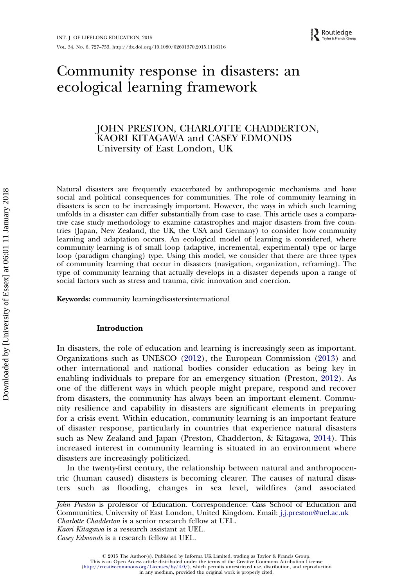## Community response in disasters: an ecological learning framework

### JOHN PRESTON, CHARLOTTE CHADDERTON, KAORI KITAGAWA and CASEY EDMONDS University of East London, UK

Natural disasters are frequently exacerbated by anthropogenic mechanisms and have social and political consequences for communities. The role of community learning in disasters is seen to be increasingly important. However, the ways in which such learning unfolds in a disaster can differ substantially from case to case. This article uses a comparative case study methodology to examine catastrophes and major disasters from five countries (Japan, New Zealand, the UK, the USA and Germany) to consider how community learning and adaptation occurs. An ecological model of learning is considered, where community learning is of small loop (adaptive, incremental, experimental) type or large loop (paradigm changing) type. Using this model, we consider that there are three types of community learning that occur in disasters (navigation, organization, reframing). The type of community learning that actually develops in a disaster depends upon a range of social factors such as stress and trauma, civic innovation and coercion.

Keywords: community learningdisastersinternational

#### Introduction

In disasters, the role of education and learning is increasingly seen as important. Organizations such as UNESCO [\(2012](#page-27-0)), the European Commission ([2013\)](#page-27-0) and other international and national bodies consider education as being key in enabling individuals to prepare for an emergency situation (Preston, [2012](#page-27-0)). As one of the different ways in which people might prepare, respond and recover from disasters, the community has always been an important element. Community resilience and capability in disasters are significant elements in preparing for a crisis event. Within education, community learning is an important feature of disaster response, particularly in countries that experience natural disasters such as New Zealand and Japan (Preston, Chadderton, & Kitagawa, [2014\)](#page-27-0). This increased interest in community learning is situated in an environment where disasters are increasingly politicized.

In the twenty-first century, the relationship between natural and anthropocentric (human caused) disasters is becoming clearer. The causes of natural disasters such as flooding, changes in sea level, wildfires (and associated

Casey Edmonds is a research fellow at UEL.

John Preston is professor of Education. Correspondence: Cass School of Education and Communities, University of East London, United Kingdom. Email: [j.j.preston@uel.ac.uk](mailto:j.j.preston@uel.ac.uk) Charlotte Chadderton is a senior research fellow at UEL. Kaori Kitagawa is a research assistant at UEL.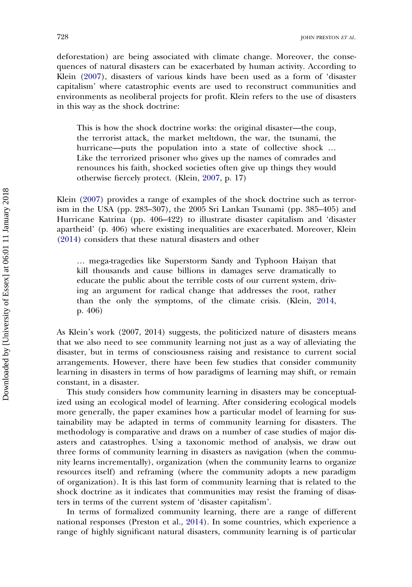deforestation) are being associated with climate change. Moreover, the consequences of natural disasters can be exacerbated by human activity. According to Klein [\(2007](#page-27-0)), disasters of various kinds have been used as a form of 'disaster capitalism' where catastrophic events are used to reconstruct communities and environments as neoliberal projects for profit. Klein refers to the use of disasters in this way as the shock doctrine:

This is how the shock doctrine works: the original disaster—the coup, the terrorist attack, the market meltdown, the war, the tsunami, the hurricane—puts the population into a state of collective shock … Like the terrorized prisoner who gives up the names of comrades and renounces his faith, shocked societies often give up things they would otherwise fiercely protect. (Klein, [2007](#page-27-0), p. 17)

Klein [\(2007](#page-27-0)) provides a range of examples of the shock doctrine such as terrorism in the USA (pp. 283–307), the 2005 Sri Lankan Tsunami (pp. 385–405) and Hurricane Katrina (pp. 406–422) to illustrate disaster capitalism and 'disaster apartheid' (p. 406) where existing inequalities are exacerbated. Moreover, Klein [\(2014](#page-27-0)) considers that these natural disasters and other

… mega-tragedies like Superstorm Sandy and Typhoon Haiyan that kill thousands and cause billions in damages serve dramatically to educate the public about the terrible costs of our current system, driving an argument for radical change that addresses the root, rather than the only the symptoms, of the climate crisis. (Klein, [2014](#page-27-0), p. 406)

As Klein's work (2007, 2014) suggests, the politicized nature of disasters means that we also need to see community learning not just as a way of alleviating the disaster, but in terms of consciousness raising and resistance to current social arrangements. However, there have been few studies that consider community learning in disasters in terms of how paradigms of learning may shift, or remain constant, in a disaster.

This study considers how community learning in disasters may be conceptualized using an ecological model of learning. After considering ecological models more generally, the paper examines how a particular model of learning for sustainability may be adapted in terms of community learning for disasters. The methodology is comparative and draws on a number of case studies of major disasters and catastrophes. Using a taxonomic method of analysis, we draw out three forms of community learning in disasters as navigation (when the community learns incrementally), organization (when the community learns to organize resources itself) and reframing (where the community adopts a new paradigm of organization). It is this last form of community learning that is related to the shock doctrine as it indicates that communities may resist the framing of disasters in terms of the current system of 'disaster capitalism'.

In terms of formalized community learning, there are a range of different national responses (Preston et al., [2014\)](#page-27-0). In some countries, which experience a range of highly significant natural disasters, community learning is of particular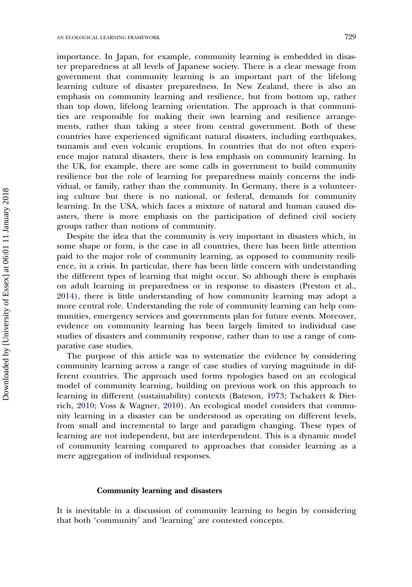importance. In Japan, for example, community learning is embedded in disaster preparedness at all levels of Japanese society. There is a clear message from government that community learning is an important part of the lifelong learning culture of disaster preparedness. In New Zealand, there is also an emphasis on community learning and resilience, but from bottom up, rather than top down, lifelong learning orientation. The approach is that communities are responsible for making their own learning and resilience arrangements, rather than taking a steer from central government. Both of these countries have experienced significant natural disasters, including earthquakes, tsunamis and even volcanic eruptions. In countries that do not often experience major natural disasters, there is less emphasis on community learning. In the UK, for example, there are some calls in government to build community resilience but the role of learning for preparedness mainly concerns the individual, or family, rather than the community. In Germany, there is a volunteering culture but there is no national, or federal, demands for community learning. In the USA, which faces a mixture of natural and human caused disasters, there is more emphasis on the participation of defined civil society groups rather than notions of community.

Despite the idea that the community is very important in disasters which, in some shape or form, is the case in all countries, there has been little attention paid to the major role of community learning, as opposed to community resilience, in a crisis. In particular, there has been little concern with understanding the different types of learning that might occur. So although there is emphasis on adult learning in preparedness or in response to disasters (Preston et al., [2014\)](#page-27-0), there is little understanding of how community learning may adopt a more central role. Understanding the role of community learning can help communities, emergency services and governments plan for future events. Moreover, evidence on community learning has been largely limited to individual case studies of disasters and community response, rather than to use a range of comparative case studies.

The purpose of this article was to systematize the evidence by considering community learning across a range of case studies of varying magnitude in different countries. The approach used forms typologies based on an ecological model of community learning, building on previous work on this approach to learning in different (sustainability) contexts (Bateson, [1973](#page-27-0); Tschakert & Dietrich, [2010;](#page-27-0) Voss & Wagner, [2010](#page-27-0)). An ecological model considers that community learning in a disaster can be understood as operating on different levels, from small and incremental to large and paradigm changing. These types of learning are not independent, but are interdependent. This is a dynamic model of community learning compared to approaches that consider learning as a mere aggregation of individual responses.

#### Community learning and disasters

It is inevitable in a discussion of community learning to begin by considering that both 'community' and 'learning' are contested concepts.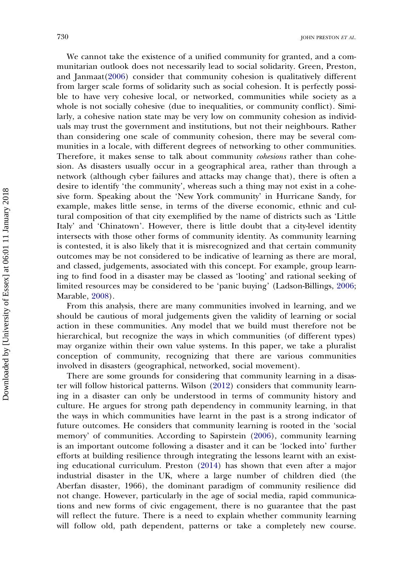We cannot take the existence of a unified community for granted, and a communitarian outlook does not necessarily lead to social solidarity. Green, Preston, and  $\text{Iamanat}(2006)$  $\text{Iamanat}(2006)$  $\text{Iamanat}(2006)$  consider that community cohesion is qualitatively different from larger scale forms of solidarity such as social cohesion. It is perfectly possible to have very cohesive local, or networked, communities while society as a whole is not socially cohesive (due to inequalities, or community conflict). Similarly, a cohesive nation state may be very low on community cohesion as individuals may trust the government and institutions, but not their neighbours. Rather than considering one scale of community cohesion, there may be several communities in a locale, with different degrees of networking to other communities. Therefore, it makes sense to talk about community cohesions rather than cohesion. As disasters usually occur in a geographical area, rather than through a network (although cyber failures and attacks may change that), there is often a desire to identify 'the community', whereas such a thing may not exist in a cohesive form. Speaking about the 'New York community' in Hurricane Sandy, for example, makes little sense, in terms of the diverse economic, ethnic and cultural composition of that city exemplified by the name of districts such as 'Little Italy' and 'Chinatown'. However, there is little doubt that a city-level identity intersects with those other forms of community identity. As community learning is contested, it is also likely that it is misrecognized and that certain community outcomes may be not considered to be indicative of learning as there are moral, and classed, judgements, associated with this concept. For example, group learning to find food in a disaster may be classed as 'looting' and rational seeking of limited resources may be considered to be 'panic buying' (Ladson-Billings, [2006](#page-27-0); Marable, [2008](#page-27-0)).

From this analysis, there are many communities involved in learning, and we should be cautious of moral judgements given the validity of learning or social action in these communities. Any model that we build must therefore not be hierarchical, but recognize the ways in which communities (of different types) may organize within their own value systems. In this paper, we take a pluralist conception of community, recognizing that there are various communities involved in disasters (geographical, networked, social movement).

There are some grounds for considering that community learning in a disaster will follow historical patterns. Wilson ([2012\)](#page-27-0) considers that community learning in a disaster can only be understood in terms of community history and culture. He argues for strong path dependency in community learning, in that the ways in which communities have learnt in the past is a strong indicator of future outcomes. He considers that community learning is rooted in the 'social memory' of communities. According to Sapirstein ([2006\)](#page-27-0), community learning is an important outcome following a disaster and it can be 'locked into' further efforts at building resilience through integrating the lessons learnt with an existing educational curriculum. Preston [\(2014](#page-27-0)) has shown that even after a major industrial disaster in the UK, where a large number of children died (the Aberfan disaster, 1966), the dominant paradigm of community resilience did not change. However, particularly in the age of social media, rapid communications and new forms of civic engagement, there is no guarantee that the past will reflect the future. There is a need to explain whether community learning will follow old, path dependent, patterns or take a completely new course.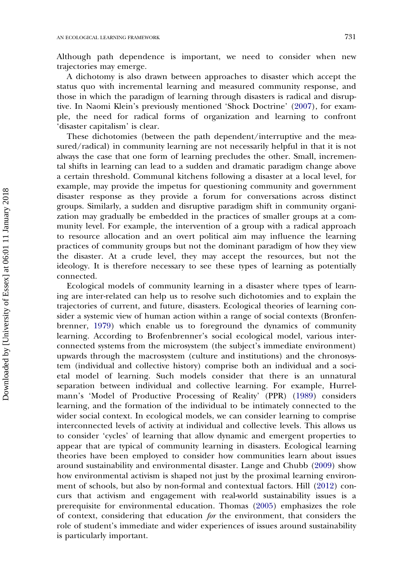Although path dependence is important, we need to consider when new trajectories may emerge.

A dichotomy is also drawn between approaches to disaster which accept the status quo with incremental learning and measured community response, and those in which the paradigm of learning through disasters is radical and disruptive. In Naomi Klein's previously mentioned 'Shock Doctrine' ([2007](#page-27-0)), for example, the need for radical forms of organization and learning to confront 'disaster capitalism' is clear.

These dichotomies (between the path dependent/interruptive and the measured/radical) in community learning are not necessarily helpful in that it is not always the case that one form of learning precludes the other. Small, incremental shifts in learning can lead to a sudden and dramatic paradigm change above a certain threshold. Communal kitchens following a disaster at a local level, for example, may provide the impetus for questioning community and government disaster response as they provide a forum for conversations across distinct groups. Similarly, a sudden and disruptive paradigm shift in community organization may gradually be embedded in the practices of smaller groups at a community level. For example, the intervention of a group with a radical approach to resource allocation and an overt political aim may influence the learning practices of community groups but not the dominant paradigm of how they view the disaster. At a crude level, they may accept the resources, but not the ideology. It is therefore necessary to see these types of learning as potentially connected.

Ecological models of community learning in a disaster where types of learning are inter-related can help us to resolve such dichotomies and to explain the trajectories of current, and future, disasters. Ecological theories of learning consider a systemic view of human action within a range of social contexts (Bronfenbrenner, [1979\)](#page-27-0) which enable us to foreground the dynamics of community learning. According to Brofenbrenner's social ecological model, various interconnected systems from the microsystem (the subject's immediate environment) upwards through the macrosystem (culture and institutions) and the chronosystem (individual and collective history) comprise both an individual and a societal model of learning. Such models consider that there is an unnatural separation between individual and collective learning. For example, Hurrelmann's 'Model of Productive Processing of Reality' (PPR) [\(1989](#page-27-0)) considers learning, and the formation of the individual to be intimately connected to the wider social context. In ecological models, we can consider learning to comprise interconnected levels of activity at individual and collective levels. This allows us to consider 'cycles' of learning that allow dynamic and emergent properties to appear that are typical of community learning in disasters. Ecological learning theories have been employed to consider how communities learn about issues around sustainability and environmental disaster. Lange and Chubb ([2009](#page-27-0)) show how environmental activism is shaped not just by the proximal learning environment of schools, but also by non-formal and contextual factors. Hill [\(2012](#page-27-0)) concurs that activism and engagement with real-world sustainability issues is a prerequisite for environmental education. Thomas ([2005](#page-27-0)) emphasizes the role of context, considering that education for the environment, that considers the role of student's immediate and wider experiences of issues around sustainability is particularly important.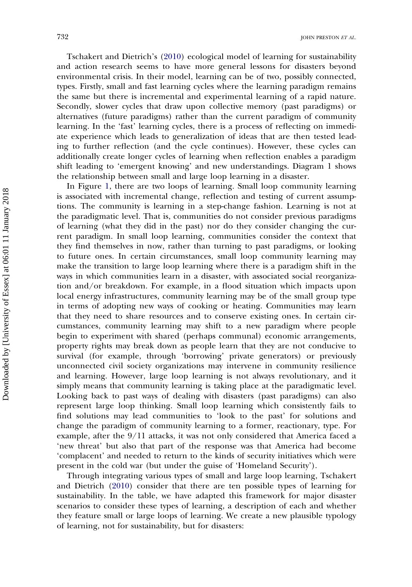Tschakert and Dietrich's [\(2010\)](#page-27-0) ecological model of learning for sustainability and action research seems to have more general lessons for disasters beyond environmental crisis. In their model, learning can be of two, possibly connected, types. Firstly, small and fast learning cycles where the learning paradigm remains the same but there is incremental and experimental learning of a rapid nature. Secondly, slower cycles that draw upon collective memory (past paradigms) or alternatives (future paradigms) rather than the current paradigm of community learning. In the 'fast' learning cycles, there is a process of reflecting on immediate experience which leads to generalization of ideas that are then tested leading to further reflection (and the cycle continues). However, these cycles can additionally create longer cycles of learning when reflection enables a paradigm shift leading to 'emergent knowing' and new understandings. Diagram 1 shows the relationship between small and large loop learning in a disaster.

In Figure [1,](#page-7-0) there are two loops of learning. Small loop community learning is associated with incremental change, reflection and testing of current assumptions. The community is learning in a step-change fashion. Learning is not at the paradigmatic level. That is, communities do not consider previous paradigms of learning (what they did in the past) nor do they consider changing the current paradigm. In small loop learning, communities consider the context that they find themselves in now, rather than turning to past paradigms, or looking to future ones. In certain circumstances, small loop community learning may make the transition to large loop learning where there is a paradigm shift in the ways in which communities learn in a disaster, with associated social reorganization and/or breakdown. For example, in a flood situation which impacts upon local energy infrastructures, community learning may be of the small group type in terms of adopting new ways of cooking or heating. Communities may learn that they need to share resources and to conserve existing ones. In certain circumstances, community learning may shift to a new paradigm where people begin to experiment with shared (perhaps communal) economic arrangements, property rights may break down as people learn that they are not conducive to survival (for example, through 'borrowing' private generators) or previously unconnected civil society organizations may intervene in community resilience and learning. However, large loop learning is not always revolutionary, and it simply means that community learning is taking place at the paradigmatic level. Looking back to past ways of dealing with disasters (past paradigms) can also represent large loop thinking. Small loop learning which consistently fails to find solutions may lead communities to 'look to the past' for solutions and change the paradigm of community learning to a former, reactionary, type. For example, after the 9/11 attacks, it was not only considered that America faced a 'new threat' but also that part of the response was that America had become 'complacent' and needed to return to the kinds of security initiatives which were present in the cold war (but under the guise of 'Homeland Security').

Through integrating various types of small and large loop learning, Tschakert and Dietrich [\(2010\)](#page-27-0) consider that there are ten possible types of learning for sustainability. In the table, we have adapted this framework for major disaster scenarios to consider these types of learning, a description of each and whether they feature small or large loops of learning. We create a new plausible typology of learning, not for sustainability, but for disasters: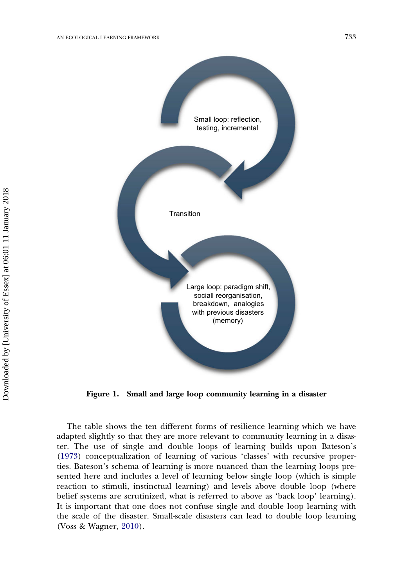<span id="page-7-0"></span>

Figure 1. Small and large loop community learning in a disaster

The table shows the ten different forms of resilience learning which we have adapted slightly so that they are more relevant to community learning in a disaster. The use of single and double loops of learning builds upon Bateson's [\(1973](#page-27-0)) conceptualization of learning of various 'classes' with recursive properties. Bateson's schema of learning is more nuanced than the learning loops presented here and includes a level of learning below single loop (which is simple reaction to stimuli, instinctual learning) and levels above double loop (where belief systems are scrutinized, what is referred to above as 'back loop' learning). It is important that one does not confuse single and double loop learning with the scale of the disaster. Small-scale disasters can lead to double loop learning (Voss & Wagner, [2010](#page-27-0)).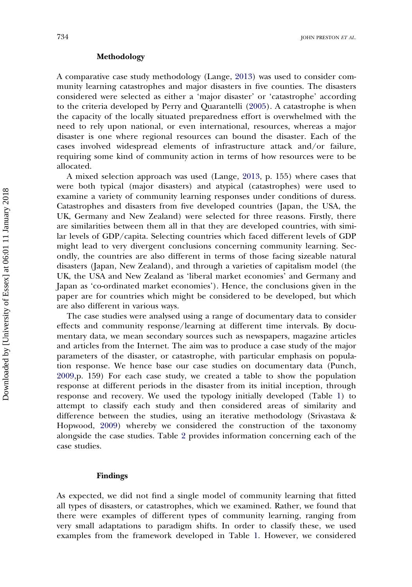#### Methodology

A comparative case study methodology (Lange, [2013](#page-27-0)) was used to consider community learning catastrophes and major disasters in five counties. The disasters considered were selected as either a 'major disaster' or 'catastrophe' according to the criteria developed by Perry and Quarantelli [\(2005](#page-27-0)). A catastrophe is when the capacity of the locally situated preparedness effort is overwhelmed with the need to rely upon national, or even international, resources, whereas a major disaster is one where regional resources can bound the disaster. Each of the cases involved widespread elements of infrastructure attack and/or failure, requiring some kind of community action in terms of how resources were to be allocated.

A mixed selection approach was used (Lange, [2013](#page-27-0), p. 155) where cases that were both typical (major disasters) and atypical (catastrophes) were used to examine a variety of community learning responses under conditions of duress. Catastrophes and disasters from five developed countries (Japan, the USA, the UK, Germany and New Zealand) were selected for three reasons. Firstly, there are similarities between them all in that they are developed countries, with similar levels of GDP/capita. Selecting countries which faced different levels of GDP might lead to very divergent conclusions concerning community learning. Secondly, the countries are also different in terms of those facing sizeable natural disasters (Japan, New Zealand), and through a varieties of capitalism model (the UK, the USA and New Zealand as 'liberal market economies' and Germany and Japan as 'co-ordinated market economies'). Hence, the conclusions given in the paper are for countries which might be considered to be developed, but which are also different in various ways.

The case studies were analysed using a range of documentary data to consider effects and community response/learning at different time intervals. By documentary data, we mean secondary sources such as newspapers, magazine articles and articles from the Internet. The aim was to produce a case study of the major parameters of the disaster, or catastrophe, with particular emphasis on population response. We hence base our case studies on documentary data (Punch, [2009,](#page-27-0)p. 159) For each case study, we created a table to show the population response at different periods in the disaster from its initial inception, through response and recovery. We used the typology initially developed (Table [1\)](#page-9-0) to attempt to classify each study and then considered areas of similarity and difference between the studies, using an iterative methodology (Srivastava & Hopwood, [2009\)](#page-27-0) whereby we considered the construction of the taxonomy alongside the case studies. Table [2](#page-11-0) provides information concerning each of the case studies.

#### Findings

As expected, we did not find a single model of community learning that fitted all types of disasters, or catastrophes, which we examined. Rather, we found that there were examples of different types of community learning, ranging from very small adaptations to paradigm shifts. In order to classify these, we used examples from the framework developed in Table [1](#page-9-0). However, we considered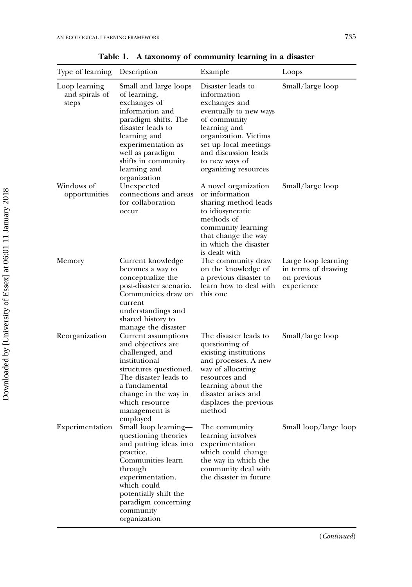<span id="page-9-0"></span>

| Type of learning                         | Description                                                                                                                                                                                                                                     | Example                                                                                                                                                                                                                         | Loops                                                                   |
|------------------------------------------|-------------------------------------------------------------------------------------------------------------------------------------------------------------------------------------------------------------------------------------------------|---------------------------------------------------------------------------------------------------------------------------------------------------------------------------------------------------------------------------------|-------------------------------------------------------------------------|
| Loop learning<br>and spirals of<br>steps | Small and large loops<br>of learning,<br>exchanges of<br>information and<br>paradigm shifts. The<br>disaster leads to<br>learning and<br>experimentation as<br>well as paradigm<br>shifts in community<br>learning and                          | Disaster leads to<br>information<br>exchanges and<br>eventually to new ways<br>of community<br>learning and<br>organization. Victims<br>set up local meetings<br>and discussion leads<br>to new ways of<br>organizing resources | Small/large loop                                                        |
| Windows of<br>opportunities              | organization<br>Unexpected<br>connections and areas<br>for collaboration<br>occur                                                                                                                                                               | A novel organization<br>or information<br>sharing method leads<br>to idiosyncratic<br>methods of<br>community learning<br>that change the way<br>in which the disaster<br>is dealt with                                         | Small/large loop                                                        |
| Memory                                   | Current knowledge<br>becomes a way to<br>conceptualize the<br>post-disaster scenario.<br>Communities draw on<br>current<br>understandings and<br>shared history to                                                                              | The community draw<br>on the knowledge of<br>a previous disaster to<br>learn how to deal with<br>this one                                                                                                                       | Large loop learning<br>in terms of drawing<br>on previous<br>experience |
| Reorganization                           | manage the disaster<br>Current assumptions<br>and objectives are<br>challenged, and<br>institutional<br>structures questioned.<br>The disaster leads to<br>a fundamental<br>change in the way in<br>which resource<br>management is             | The disaster leads to<br>questioning of<br>existing institutions<br>and processes. A new<br>way of allocating<br>resources and<br>learning about the<br>disaster arises and<br>displaces the previous<br>method                 | Small/large loop                                                        |
| Experimentation                          | employed<br>Small loop learning—<br>questioning theories<br>and putting ideas into<br>practice.<br>Communities learn<br>through<br>experimentation,<br>which could<br>potentially shift the<br>paradigm concerning<br>community<br>organization | The community<br>learning involves<br>experimentation<br>which could change<br>the way in which the<br>community deal with<br>the disaster in future                                                                            | Small loop/large loop                                                   |

Table 1. A taxonomy of community learning in a disaster

(Continued)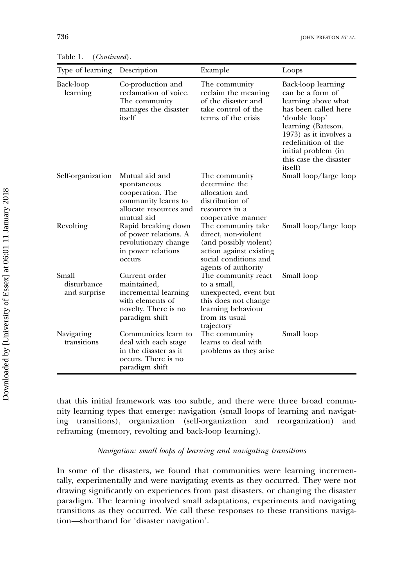| Type of learning                     | Description                                                                                                        | Example                                                                                                                                        | Loops                                                                                                                                                                                                                                             |
|--------------------------------------|--------------------------------------------------------------------------------------------------------------------|------------------------------------------------------------------------------------------------------------------------------------------------|---------------------------------------------------------------------------------------------------------------------------------------------------------------------------------------------------------------------------------------------------|
| Back-loop<br>learning                | Co-production and<br>reclamation of voice.<br>The community<br>manages the disaster<br>itself                      | The community<br>reclaim the meaning<br>of the disaster and<br>take control of the<br>terms of the crisis                                      | Back-loop learning<br>can be a form of<br>learning above what<br>has been called here<br>'double loop'<br>learning (Bateson,<br>1973) as it involves a<br>redefinition of the<br>initial problem (in<br>this case the disaster<br><i>itself</i> ) |
| Self-organization                    | Mutual aid and<br>spontaneous<br>cooperation. The<br>community learns to<br>allocate resources and<br>mutual aid   | The community<br>determine the<br>allocation and<br>distribution of<br>resources in a<br>cooperative manner                                    | Small loop/large loop                                                                                                                                                                                                                             |
| Revolting                            | Rapid breaking down<br>of power relations. A<br>revolutionary change<br>in power relations<br>occurs               | The community take<br>direct, non-violent<br>(and possibly violent)<br>action against existing<br>social conditions and<br>agents of authority | Small loop/large loop                                                                                                                                                                                                                             |
| Small<br>disturbance<br>and surprise | Current order<br>maintained,<br>incremental learning<br>with elements of<br>novelty. There is no<br>paradigm shift | The community react.<br>to a small,<br>unexpected, event but<br>this does not change<br>learning behaviour<br>from its usual<br>trajectory     | Small loop                                                                                                                                                                                                                                        |
| Navigating<br>transitions            | Communities learn to<br>deal with each stage<br>in the disaster as it<br>occurs. There is no<br>paradigm shift     | The community<br>learns to deal with<br>problems as they arise                                                                                 | Small loop                                                                                                                                                                                                                                        |

Table 1. (Continued).

that this initial framework was too subtle, and there were three broad community learning types that emerge: navigation (small loops of learning and navigating transitions), organization (self-organization and reorganization) and reframing (memory, revolting and back-loop learning).

#### Navigation: small loops of learning and navigating transitions

In some of the disasters, we found that communities were learning incrementally, experimentally and were navigating events as they occurred. They were not drawing significantly on experiences from past disasters, or changing the disaster paradigm. The learning involved small adaptations, experiments and navigating transitions as they occurred. We call these responses to these transitions navigation—shorthand for 'disaster navigation'.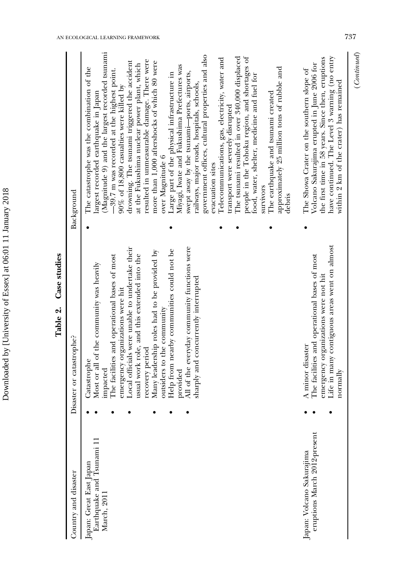<span id="page-11-0"></span>

| Country and disaster                                                | Disaster or catastrophe?                                                                                                                             | Background                                                                                                                                                                                                                       |
|---------------------------------------------------------------------|------------------------------------------------------------------------------------------------------------------------------------------------------|----------------------------------------------------------------------------------------------------------------------------------------------------------------------------------------------------------------------------------|
| Earthquake and Tsunami 11<br>Japan: Great East Japan<br>March, 2011 | The facilities and operational bases of most<br>Most or all of the community was heavily<br>Catastrophe<br>impacted                                  | (Magnitude 9) and the largest recorded tsunami<br>The catastrophe was the combination of the<br>-39.7 m was recorded at the highest point.<br>$90\%$ of 18,800 casualties were killed by<br>largest recorded earthquake in Japan |
|                                                                     | Local officials were unable to undertake their<br>usual work role, and this extended into the<br>emergency organizations were hit<br>recovery period | resulted in unmeasurable damage. There were<br>drowning. The tsunami triggered the accident<br>at the Fukushima nuclear power plant, which                                                                                       |
|                                                                     | Many leadership roles had to be provided by<br>outsiders to the community                                                                            | more than 1,000 aftershocks of which 80 were<br>over Magnitude 6                                                                                                                                                                 |
|                                                                     | Help from nearby communities could not be<br>provided                                                                                                | Miyagi, Iwate and Fukushima Prefectures was<br>Large part of the physical infrastructure in                                                                                                                                      |
|                                                                     | All of the everyday community functions were<br>sharply and concurrently interrupted                                                                 | government offices, cultural properties and also<br>swept away by the tsunami-ports, airports,<br>railways, major roads, hospitals, schools,                                                                                     |
|                                                                     |                                                                                                                                                      | Telecommunications, gas, electricity, water and<br>transport were severely disrupted<br>evacuation sites                                                                                                                         |
|                                                                     |                                                                                                                                                      | The tsunami resulted in over 340,000 displaced<br>people in the Tohoku region, and shortages of<br>food, water, shelter, medicine and fuel for<br>survivors                                                                      |
|                                                                     |                                                                                                                                                      | approximately 25 million tons of rubble and<br>The earthquake and tsunami created<br>debris                                                                                                                                      |
| eruptions March 2012-present<br>Japan: Volcano Sakurajima           | The facilities and operational bases of most<br>A minor disaster                                                                                     | Volcano Sakurajima erupted in June 2006 for<br>The Showa Crater on the southern slope of                                                                                                                                         |
|                                                                     | Life in many contiguous areas went on almost<br>emergency organizations were not hit<br>normally                                                     | have continued. The Level 3 warning (no entry<br>the first time in 58 years. Since then, eruptions<br>within 2 km of the crater) has remained                                                                                    |

Table 2. Case studies Table 2. Case studies

Downloaded by [University of Essex] at 06:01 11 January 2018

Downloaded by [University of Essex] at 06:01 11 January 2018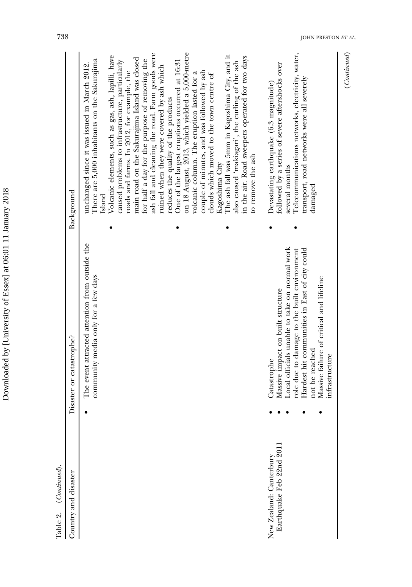| 1                                                              |
|----------------------------------------------------------------|
| ֡֡֡֡֡֡֡֡֡<br>I                                                 |
|                                                                |
|                                                                |
| ׇ֚֕֡<br>$\ddot{\phantom{a}}$                                   |
| ١<br>I<br>$\frac{1}{2}$<br>ו<br>ו<br>֚֘֝                       |
| ֠<br>í                                                         |
| ֠                                                              |
| ֧֧֢ׅׅׅ֧֧֧֧֦֧֧֧֧֧֧֦֧֚֚֚֚֚֚֚֚֚֚֚֚֚֚֚֚֚֚֚֡֡֘֓֡֡֡֓֡֡֬֓֡֬֓֞֓֓֓֓֓֓֓֓ |
|                                                                |
| i<br>)                                                         |
|                                                                |
|                                                                |
|                                                                |
| ļ                                                              |

| (Continued).<br>Fable 2.                            |                                                                                                                                                                                                                                                                                   |                                                                                                                                                                                                                                                                                                                                                                                                                                                                                                                                                                                                                                                                                                                                                                                                                                                                                                                                                       |
|-----------------------------------------------------|-----------------------------------------------------------------------------------------------------------------------------------------------------------------------------------------------------------------------------------------------------------------------------------|-------------------------------------------------------------------------------------------------------------------------------------------------------------------------------------------------------------------------------------------------------------------------------------------------------------------------------------------------------------------------------------------------------------------------------------------------------------------------------------------------------------------------------------------------------------------------------------------------------------------------------------------------------------------------------------------------------------------------------------------------------------------------------------------------------------------------------------------------------------------------------------------------------------------------------------------------------|
| Country and disaster                                | Disaster or catastrophe?                                                                                                                                                                                                                                                          | Background                                                                                                                                                                                                                                                                                                                                                                                                                                                                                                                                                                                                                                                                                                                                                                                                                                                                                                                                            |
|                                                     | The event attracted attention from outside the<br>community media only for a few days                                                                                                                                                                                             | on 18 August, 2013, which yielded a 5,000-metre<br>ash fall and cleaning the road. Farm goods were<br>The ash fall was 5mm in Kagoshima City, and it<br>Volcanic elements, such as gas, ash, lapilli, have<br>in the air. Road sweepers operated for two days<br>main road on the Sakurajima Island was closed<br>for half a day for the purpose of removing the<br>There are 5,000 inhabitants on the Sakurajima<br>caused problems to infrastructure, particularly<br>also caused 'makiagari', the curling of the ash<br>One of the largest eruptions occurred at 16:31<br>unchanged since it was issued in March 2012.<br>ruined when they were covered by ash which<br>couple of minutes, and was followed by ash<br>roads and farms. In 2012, for example, the<br>volcanic column. The eruption lasted for a<br>clouds which moved to the town centre of<br>reduces the quality of the products<br>to remove the ash<br>Kagoshima City<br>Island |
| Earthquake Feb 22nd 2011<br>New Zealand: Canterbury | Local officials unable to take on normal work<br>role due to damage to the built environment<br>Hardest hit communities in East of city could<br>Massive failure of critical and lifeline<br>Massive impact on built structure<br>not be reached<br>infrastructure<br>Catastrophe | Telecommunications networks, electricity, water,<br>followed by a series of severe aftershocks over<br>transport, road networks were all severely<br>Devastating earthquake (6.3 magnitude)<br>several months<br>damaged                                                                                                                                                                                                                                                                                                                                                                                                                                                                                                                                                                                                                                                                                                                              |
|                                                     |                                                                                                                                                                                                                                                                                   | (Continued)                                                                                                                                                                                                                                                                                                                                                                                                                                                                                                                                                                                                                                                                                                                                                                                                                                                                                                                                           |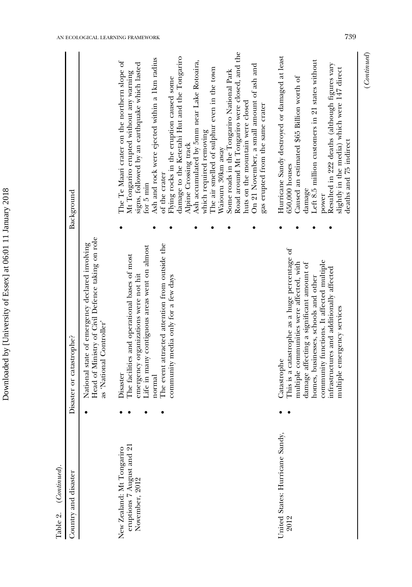| ֠<br>I<br>֠                                                            |
|------------------------------------------------------------------------|
| ׇ֚֕֡<br>֖֖֖֖֧֖ׅ֪֪ׅ֖֧֪ׅ֚֚֚֚֚֚֚֚֚֚֚֚֚֚֚֚֚֚֚֚֚֚֚֚֚֚֬֝֝֟֓֡֝                |
| ١<br>֚֘<br>ı<br>ׇ֚֡<br>֠<br>l                                          |
| ֚֚֬<br>l<br>֕<br>i<br>֕                                                |
| ֖֖֪ׅ֪ׅ֚֚֚֚֚֚֚֚֚֚֚֚֚֬֝֝֝֬֝֝֬֝֬֝֬֝֬֝֬֝֬֝֓֬֝֓֬֝֓֬֝֬֝֓֬֝֓֬֝֓֬֝֬֝<br>I<br>١ |
| ļ                                                                      |

| I<br>Î<br>Ξ<br>۰,      |
|------------------------|
| ٠<br>r<br>G<br>J<br>-3 |

| $\label{eq:constrained} (Continued).$<br>Table 2.                        |                                                                                                                                |                                                                                                                                           |
|--------------------------------------------------------------------------|--------------------------------------------------------------------------------------------------------------------------------|-------------------------------------------------------------------------------------------------------------------------------------------|
| Country and disaster                                                     | Disaster or catastrophe?                                                                                                       | Background                                                                                                                                |
|                                                                          | Head of Ministry of Civil Defence taking on role<br>National state of emergency declared involving<br>as 'National Controller' |                                                                                                                                           |
| eruptions 7 August and 21<br>New Zealand: Mt Tongariro<br>November, 2012 | The facilities and operational bases of most<br>emergency organizations were not hit<br>Disaster                               | The Te Maari crater on the northern slope of<br>signs, followed by an earthquake which lasted<br>Mt Tongariro erupted without any warning |
|                                                                          | Life in many contiguous areas went on almost<br>normal                                                                         | Ash and rock were ejected within a 1km radius<br>for 5 min                                                                                |
|                                                                          | The event attracted attention from outside the<br>community media only for a few days                                          | damage to the Ketetahi Hut and the Tongariro<br>Flying rocks in the eruption caused some<br>of the crater                                 |
|                                                                          |                                                                                                                                | Ash accumulated by 5mm near Lake Rotoaira,<br>which required removing<br>Alpine Crossing track                                            |
|                                                                          |                                                                                                                                | The air smelled of sulphur even in the town<br>Waiouru 30km away                                                                          |
|                                                                          |                                                                                                                                | Road around Mt Tongariro were closed, and the<br>Some roads in the Tongariro National Park                                                |
|                                                                          |                                                                                                                                | On 21 November, a small amount of ash and<br>huts on the mountain were closed                                                             |
|                                                                          |                                                                                                                                | gas erupted from the same crater                                                                                                          |
| United States: Hurricane Sandy,                                          | Catastrophe                                                                                                                    | Hurricane Sandy destroyed or damaged at least                                                                                             |
| 2012                                                                     | This is a catastrophe as a huge percentage of<br>multiple communities were affected, with                                      | Caused an estimated \$65 Billion worth of<br>650,000 houses                                                                               |
|                                                                          | damage affecting a significant amount of                                                                                       | damage                                                                                                                                    |
|                                                                          | homes, businesses, schools and other                                                                                           | Left 8.5 million customers in 21 states without                                                                                           |
|                                                                          | community functions. It affected multiple<br>infrastructures and additionally affected                                         | Resulted in 222 deaths (although figures vary<br>power                                                                                    |
|                                                                          | multiple emergency services                                                                                                    | slightly in the media) which were 147 direct<br>deaths and 75 indirect                                                                    |

(Continued)

 $(Continued) % \begin{minipage}[b]{0.5\linewidth} \centering \centerline{\includegraphics[width=0.5\linewidth]{images/STM100020.jpg} \centerline{\includegraphics[width=0.5\linewidth]{images/STM100020.jpg} \centerline{\includegraphics[width=0.5\linewidth]{images/STM100020.jpg} \centerline{\includegraphics[width=0.5\linewidth]{images/STM100020.jpg} \centerline{\includegraphics[width=0.5\linewidth]{images/STM100020.jpg} \centerline{\includegraphics[width=0.5\linewidth]{images/STM100020.jpg} \centerline{\includegraphics[width=0.5\linewidth]{images/STM100020.jpg} \centerline{\includegraphics[width$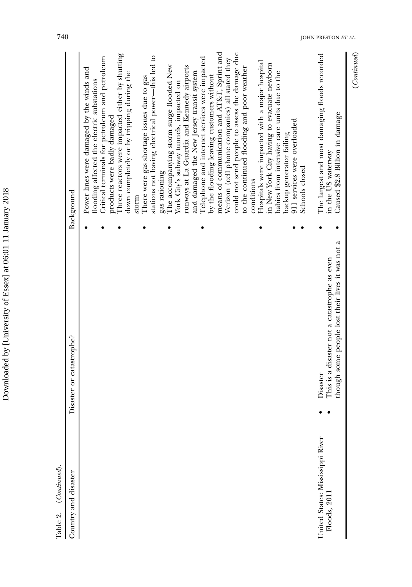| J<br>j                                                                                                                                                 |
|--------------------------------------------------------------------------------------------------------------------------------------------------------|
| J                                                                                                                                                      |
| İ                                                                                                                                                      |
| l                                                                                                                                                      |
| ì<br>j                                                                                                                                                 |
| ֧֦֧֦֧֦֧֦֧֦֧֦֧ׅ֧ׅ֧֧֧֦֧֧֪֪֪֦֧֧֧֚֝֜֜֝֬֝֬֝֬֝֬֝֬֝֬֝֬֝֬<br>֖֖֖֖֖֖֧֪֪ׅ֪֪֪ׅ֧֪֪֪֪֪֪֪֪֪֪֪֪֪֪֪֪֪֪֪֪֪֪֪֪֪֪֪֚֚֚֚֚֚֚֚֚֚֚֚֚֚֚֚֚֚֚֚֚֚֚֚֚֚֬֝֓֞֓֞֓֓֬֝֬֓<br>------<br>֚֘֝ |
| I<br>l                                                                                                                                                 |
| ֖֖֖֖֪ׅ֖֪ׅ֖֪֪ׅ֚֚֚֚֚֚֚֚֚֚֚֚֡֡֝֬֝֝֝֟֓֝֬֝֬֝֬֝֬֝֝֬֝֝֝֬֝֝֬֝֝֬֝֬֝֝֬֝֬֝֬֝֬֝֬֝֬֝֬֝֬֝֬֝֬֝֝֞֝֞֝֬֝֝֬֝֝<br>֧֧֪֪֧֪֪֧֪֪֧֪֪֧֝֝֝֝<br>֕                                  |
|                                                                                                                                                        |
| ׅׅ֧֧֧֧֚֚֚֚֚֚֚֚֚֚֚֚֚֚֚֚֚֡֡֡֡֡֡֡֡֡֡֬֓֡֡֡֬֓֡֡֬֓֓֬֓                                                                                                        |
| i                                                                                                                                                      |
|                                                                                                                                                        |
|                                                                                                                                                        |
| $\overline{a}$                                                                                                                                         |
|                                                                                                                                                        |
| ļ                                                                                                                                                      |

Table 2. (Continued). Table 2. (Continued).

| $\cup$ of $\omega$ and $\omega$ and $\omega$ .<br>ranne 4. |                                                  |                                                  |
|------------------------------------------------------------|--------------------------------------------------|--------------------------------------------------|
| Country and disaster                                       | Disaster or catastrophe?                         | Background                                       |
|                                                            |                                                  | Power lines were damaged by the winds and        |
|                                                            |                                                  | flooding affected the electric substations       |
|                                                            |                                                  | Critical terminals for petroleum and petroleum   |
|                                                            |                                                  | products were badly damaged                      |
|                                                            |                                                  | Three reactors were impacted either by shutting  |
|                                                            |                                                  | down completely or by tripping during the        |
|                                                            |                                                  | storm                                            |
|                                                            |                                                  | There were gas shortage issues due to gas        |
|                                                            |                                                  | stations not having electrical power-this led to |
|                                                            |                                                  | gas rationing                                    |
|                                                            |                                                  | The accompanying storm surge flooded New         |
|                                                            |                                                  | York City's subway tunnels, impacted on          |
|                                                            |                                                  | runways at La Guardia and Kennedy airports       |
|                                                            |                                                  | and damaged the New Jersey transit system        |
|                                                            |                                                  | Telephone and internet services were impacted    |
|                                                            |                                                  | by the flooding leaving customers without        |
|                                                            |                                                  | means of communication and AT&T, Sprint and      |
|                                                            |                                                  | Verizon (cell phone companies) all stated they   |
|                                                            |                                                  | could not send people to assess the damage due   |
|                                                            |                                                  | to the continued flooding and poor weather       |
|                                                            |                                                  | conditions                                       |
|                                                            |                                                  | Hospitals were impacted with a major hospital    |
|                                                            |                                                  | in New York City having to evacuate newborn      |
|                                                            |                                                  | babies from intensive care units due to the      |
|                                                            |                                                  | backup generator failing                         |
|                                                            |                                                  | 911 services were overloaded                     |
|                                                            |                                                  | Schools closed                                   |
|                                                            |                                                  |                                                  |
| United States: Mississippi River                           | Disaster                                         | The largest and most damaging floods recorded    |
| Floods, 201                                                | This is a disaster not a catastrophe as even     | in the US waterway                               |
|                                                            | though some people lost their lives it was not a | Caused \$2.8 Billion in damage                   |
|                                                            |                                                  | $\left(Continued\right)$                         |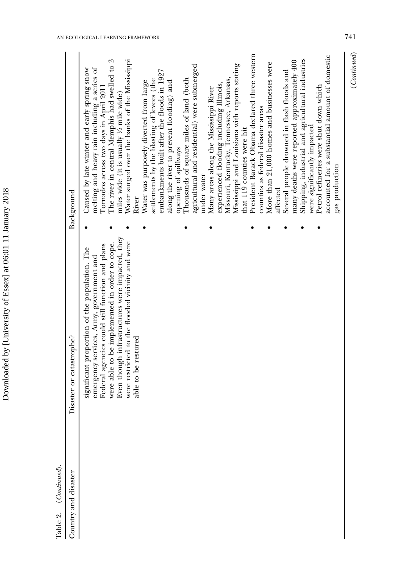| l<br>J                                          |
|-------------------------------------------------|
|                                                 |
|                                                 |
| ١<br>I<br>j<br>֚֘<br>ı<br>ļ<br>j<br>I<br>֠<br>l |
| I<br>l<br>֚֕֡<br>֕<br>I<br>ׇ֚֘                  |
| į                                               |
|                                                 |
|                                                 |
| ļ                                               |

| Table 2. (Continued). |                                                                                                     |                                                                                                      |
|-----------------------|-----------------------------------------------------------------------------------------------------|------------------------------------------------------------------------------------------------------|
| Country and disaster  | Disaster or catastrophe?                                                                            | Background                                                                                           |
|                       | significant proportion of the population. The<br>emergency services, Army, government and           | melting and heavy rain including a series of<br>Caused by late winter and early spring snow          |
|                       | Federal agencies could still function and plans                                                     | Tornados across two days in April 2011                                                               |
|                       | were able to be implemented in order to cope.                                                       | The river in central Memphis had swelled to 3                                                        |
|                       | Even though infrastructures were impacted, they<br>were restricted to the flooded vicinity and were | Water surged over the banks of the Mississippi<br>miles wide (it is usually $\frac{1}{2}$ mile wide) |
|                       | able to be restored                                                                                 | River                                                                                                |
|                       |                                                                                                     | Water was purposely diverted from large                                                              |
|                       |                                                                                                     | embankments built after the floods in 1927<br>settlements by the blasting of levees (the             |
|                       |                                                                                                     | along the river to prevent flooding) and                                                             |
|                       |                                                                                                     | opening of spillways                                                                                 |
|                       |                                                                                                     | Thousands of square miles of land (both                                                              |
|                       |                                                                                                     | agricultural and residential) were submerged                                                         |
|                       |                                                                                                     | under water                                                                                          |
|                       |                                                                                                     | Many areas along the Mississippi River                                                               |
|                       |                                                                                                     | experienced flooding including Illinois,                                                             |
|                       |                                                                                                     | Missouri, Kentucky, Tennessee, Arkansas,                                                             |
|                       |                                                                                                     | Mississippi and Louisiana with reports stating                                                       |
|                       |                                                                                                     | that 119 counties were hit                                                                           |
|                       |                                                                                                     | President Barack Obama declared three western                                                        |
|                       |                                                                                                     | counties as federal disaster areas                                                                   |
|                       |                                                                                                     | More than 21,000 homes and businesses were                                                           |
|                       |                                                                                                     | affected                                                                                             |
|                       |                                                                                                     | many deaths were reported approximately 400<br>Several people drowned in flash floods and            |
|                       |                                                                                                     | Shipping, industrial and agricultural industries                                                     |
|                       |                                                                                                     | were significantly impacted                                                                          |
|                       |                                                                                                     | Petrol refineries were shut down which                                                               |
|                       |                                                                                                     | accounted for a substantial amount of domestic                                                       |
|                       |                                                                                                     | gas production                                                                                       |

(Continued)

 $\label{eq:constrained} (Continued)$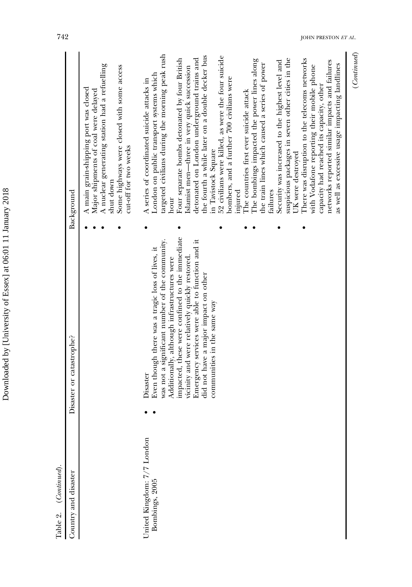| J                                |
|----------------------------------|
|                                  |
| $\sim$ M.                        |
| $\ddot{\phantom{a}}$<br>ׇ֚֡<br>I |
| i<br>ו<br>ו                      |
| i<br>)<br>l                      |

| (Continued).<br>Table 2.                     |                                                                                                                                                 |                                                                                                                                           |
|----------------------------------------------|-------------------------------------------------------------------------------------------------------------------------------------------------|-------------------------------------------------------------------------------------------------------------------------------------------|
| Country and disaster                         | Disaster or catastrophe?                                                                                                                        | Background                                                                                                                                |
|                                              |                                                                                                                                                 | A nuclear generating station had a refuelling<br>A main grain-shipping port was closed<br>Major shipments of coal were delayed            |
|                                              |                                                                                                                                                 | Some highways were closed with some access<br>cut-off for two weeks<br>shut down                                                          |
| United Kingdom: 7/7 London<br>Bombings, 2005 | was not a significant number of the community.<br>Even though there was a tragic loss of lives, it<br>Disaster                                  | targeted civilians during the morning peak rush<br>London on public transport systems which<br>A series of coordinated suicide attacks in |
|                                              | impacted, these were confined to the immediate<br>vicinity and were relatively quickly restored.<br>Additionally, although infrastructures were | Four separate bombs detonated by four British<br>Islamist men-three in very quick succession<br>hour                                      |
|                                              | Emergency services were able to function and it<br>did not have a major impact on other                                                         | the fourth a while later on a double decker bus<br>detonated on London underground trains and                                             |
|                                              | communities in the same way                                                                                                                     | 52 civilians were killed, as were the four suicide<br>bombers, and a further 700 civilians were<br>in Tavistock Square                    |
|                                              |                                                                                                                                                 | The countries first ever suicide attack<br>injured                                                                                        |
|                                              |                                                                                                                                                 | The bombings impacted the power lines along<br>the train lines which caused a series of power                                             |
|                                              |                                                                                                                                                 | failures                                                                                                                                  |
|                                              |                                                                                                                                                 | Security was increased to the highest level and                                                                                           |
|                                              |                                                                                                                                                 | suspicious packages in seven other cities in the<br>JK were destroyed                                                                     |
|                                              |                                                                                                                                                 | There was disruption to the telecoms networks                                                                                             |
|                                              |                                                                                                                                                 | with Vodafone reporting their mobile phone<br>capacity had reached its capacity, other                                                    |
|                                              |                                                                                                                                                 | networks reported similar impacts and failures<br>as well as excessive usage impacting landlines                                          |
|                                              |                                                                                                                                                 |                                                                                                                                           |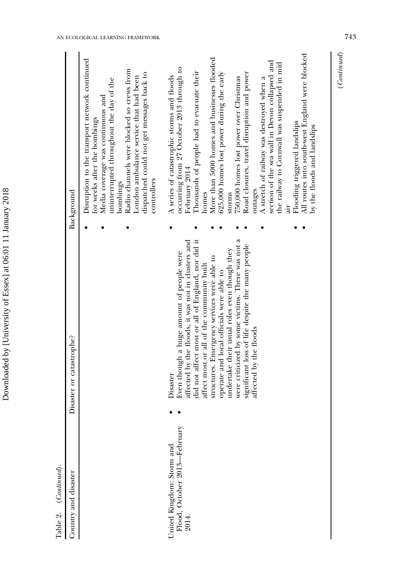| ₹<br>Î      |
|-------------|
|             |
|             |
|             |
| ٠<br>G<br>⇃ |
|             |
| $\bar{a}$   |

| $\label{eq:constrained} (Continued).$<br>Table 2. |                                                                                                |                                                                                     |  |
|---------------------------------------------------|------------------------------------------------------------------------------------------------|-------------------------------------------------------------------------------------|--|
| Country and disaster                              | Disaster or catastrophe?                                                                       | Background                                                                          |  |
|                                                   |                                                                                                | Disruption to the transport network continued<br>for weeks after the bombings       |  |
|                                                   |                                                                                                | uninterrupted throughout the day of the<br>Media coverage was continuous and        |  |
|                                                   |                                                                                                | Radio channels were blocked so crews from<br>bombings                               |  |
|                                                   |                                                                                                | dispatched could not get messages back to<br>London ambulance service that had been |  |
|                                                   |                                                                                                | controllers                                                                         |  |
| United Kingdom: Storm and                         | Disaster                                                                                       | A series of catastrophic storms and floods                                          |  |
| Flood, October 2013—February<br>2014.             | affected by the floods, it was not in clusters and<br>Even though a huge amount of people were | occurring from 27 October 2013 through to<br>February 2014                          |  |
|                                                   | did not affect most or all of England, nor did it                                              | Thousands of people had to evacuate their                                           |  |
|                                                   | structures. Emergency services were able to<br>affect most or all of the community built       | More than 5000 homes and businesses flooded<br>homes                                |  |
|                                                   | operate and local officials were able to                                                       | 625,000 homes lost power during the early                                           |  |
|                                                   | undertake their usual roles even though they                                                   | storms                                                                              |  |
|                                                   | were criticized by some victims. There was not a                                               | 750,000 homes lost power over Christmas                                             |  |
|                                                   | significant loss of life despite the many people                                               | Road closures, travel disruption and power                                          |  |
|                                                   | affected by the floods                                                                         | outages                                                                             |  |
|                                                   |                                                                                                | A stretch of railway was destroyed when a                                           |  |
|                                                   |                                                                                                | section of the sea wall in Devon collapsed and                                      |  |
|                                                   |                                                                                                | the railway to Cornwall was suspended in mid                                        |  |
|                                                   |                                                                                                | Flooding triggered landslips                                                        |  |
|                                                   |                                                                                                | All routes into south-west England were blocked                                     |  |
|                                                   |                                                                                                | by the floods and landslips                                                         |  |

(Continued)

 $(Continued) % \begin{minipage}[b]{0.5\linewidth} \centering \centerline{\includegraphics[width=0.5\linewidth]{images/STM1000.pdf} \centerline{\includegraphics[width=0.5\linewidth]{images/STM1000.pdf} \centerline{\includegraphics[width=0.5\linewidth]{images/STM1000.pdf} \centerline{\includegraphics[width=0.5\linewidth]{images/STM1000.pdf} \centerline{\includegraphics[width=0.5\linewidth]{images/STM1000.pdf} \centerline{\includegraphics[width=0.5\linewidth]{images/STM1000.pdf} \centerline{\includegraphics[width=0.5\linewidth]{images/STM1000.pdf} \centerline{\includegraphics[width=0.5\linewidth]{images/STM100$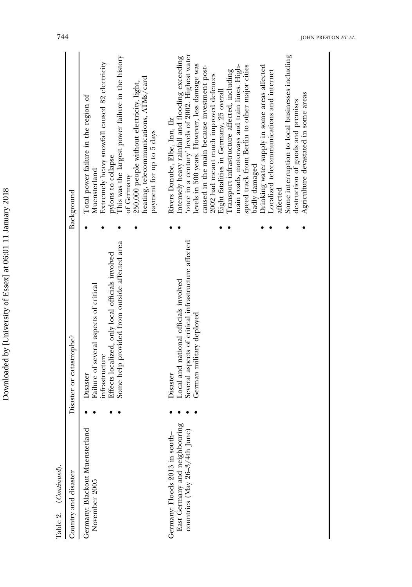| ļ<br>֠ |
|--------|
| ֠      |
|        |
| j      |
|        |
| ١      |
|        |
|        |
|        |
|        |
| I      |
|        |
|        |
| ׇ֚֕֡   |
|        |
|        |
|        |
|        |
|        |
|        |
| ı<br>I |
| l      |
| j      |
|        |
| l      |
| ţ      |
|        |
|        |
| ì      |
| ֕      |
| J      |
|        |
|        |
|        |
|        |
| י      |
| I.     |
| J      |
| ١      |
|        |
|        |
|        |
|        |
|        |
|        |
|        |
|        |
|        |
| ļ      |
|        |

| Š<br>Ξ      |
|-------------|
|             |
|             |
|             |
| ٠<br>√<br>G |
|             |
| ਰ<br>ī      |

| Table 2. (Continued).                                                                            |                                                                                                                                                                           |                                                                                                                                                                                                                                                                                                                                                                                                                                                                                                                                                                                                                                                                                                                                     |
|--------------------------------------------------------------------------------------------------|---------------------------------------------------------------------------------------------------------------------------------------------------------------------------|-------------------------------------------------------------------------------------------------------------------------------------------------------------------------------------------------------------------------------------------------------------------------------------------------------------------------------------------------------------------------------------------------------------------------------------------------------------------------------------------------------------------------------------------------------------------------------------------------------------------------------------------------------------------------------------------------------------------------------------|
| Country and disaster                                                                             | Disaster or catastrophe?                                                                                                                                                  | Background                                                                                                                                                                                                                                                                                                                                                                                                                                                                                                                                                                                                                                                                                                                          |
| Germany: Blackout Muensterland<br>November 2005                                                  | Some help provided from outside affected area<br>Effects localized, only local officials involved<br>Failure of several aspects of critical<br>infrastructure<br>Disaster | This was the largest power failure in the history<br>Extremely heavy snowfall caused 82 electricity<br>heating, telecommunications, ATMs/card<br>250,000 people without electricity, light,<br>Total power failure in the region of<br>payment for up to 5 days<br>pylons to collapse<br>Muensterland<br>of Germany                                                                                                                                                                                                                                                                                                                                                                                                                 |
| East Germany and neighbouring<br>countries (May 26–3/4th June)<br>Germany: Floods 2013 in south- | Several aspects of critical infrastructure affected<br>Local and national officials involved<br>German military deployed<br>Disaster                                      | once in a century' levels of 2002. Highest water<br>Some interruption to local businesses including<br>Intensely heavy rainfall and flooding exceeding<br>levels in 500 years. However, less damage was<br>main roads, motorways and train lines. High-<br>speed track from Berlin to other major cities<br>Drinking water supply in some areas affected<br>caused in the main because investment post-<br>Transport infrastructure affected, including<br>Localized telecommunications and internet<br>2002 had meant much improved defences<br>Eight fatalities in Germany, 25 overall<br>Agriculture devastated in some areas<br>destruction of goods and premises<br>Rivers Danube, Elbe, Inn, Ilz<br>badly damaged<br>affected |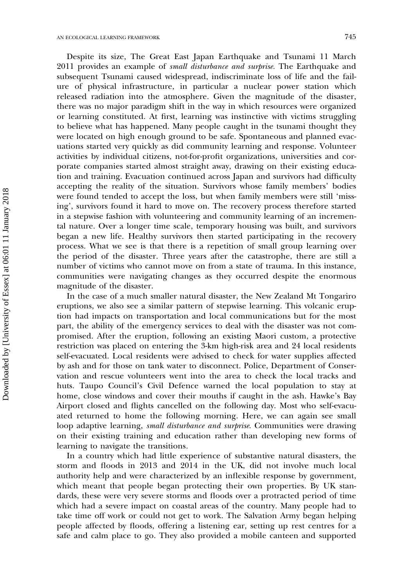Despite its size, The Great East Japan Earthquake and Tsunami 11 March 2011 provides an example of *small disturbance and surprise*. The Earthquake and subsequent Tsunami caused widespread, indiscriminate loss of life and the failure of physical infrastructure, in particular a nuclear power station which released radiation into the atmosphere. Given the magnitude of the disaster, there was no major paradigm shift in the way in which resources were organized or learning constituted. At first, learning was instinctive with victims struggling to believe what has happened. Many people caught in the tsunami thought they were located on high enough ground to be safe. Spontaneous and planned evacuations started very quickly as did community learning and response. Volunteer activities by individual citizens, not-for-profit organizations, universities and corporate companies started almost straight away, drawing on their existing education and training. Evacuation continued across Japan and survivors had difficulty accepting the reality of the situation. Survivors whose family members' bodies were found tended to accept the loss, but when family members were still 'missing', survivors found it hard to move on. The recovery process therefore started in a stepwise fashion with volunteering and community learning of an incremental nature. Over a longer time scale, temporary housing was built, and survivors began a new life. Healthy survivors then started participating in the recovery process. What we see is that there is a repetition of small group learning over the period of the disaster. Three years after the catastrophe, there are still a number of victims who cannot move on from a state of trauma. In this instance, communities were navigating changes as they occurred despite the enormous magnitude of the disaster.

In the case of a much smaller natural disaster, the New Zealand Mt Tongariro eruptions, we also see a similar pattern of stepwise learning. This volcanic eruption had impacts on transportation and local communications but for the most part, the ability of the emergency services to deal with the disaster was not compromised. After the eruption, following an existing Maori custom, a protective restriction was placed on entering the 3-km high-risk area and 24 local residents self-evacuated. Local residents were advised to check for water supplies affected by ash and for those on tank water to disconnect. Police, Department of Conservation and rescue volunteers went into the area to check the local tracks and huts. Taupo Council's Civil Defence warned the local population to stay at home, close windows and cover their mouths if caught in the ash. Hawke's Bay Airport closed and flights cancelled on the following day. Most who self-evacuated returned to home the following morning. Here, we can again see small loop adaptive learning, *small disturbance and surprise*. Communities were drawing on their existing training and education rather than developing new forms of learning to navigate the transitions.

In a country which had little experience of substantive natural disasters, the storm and floods in 2013 and 2014 in the UK, did not involve much local authority help and were characterized by an inflexible response by government, which meant that people began protecting their own properties. By UK standards, these were very severe storms and floods over a protracted period of time which had a severe impact on coastal areas of the country. Many people had to take time off work or could not get to work. The Salvation Army began helping people affected by floods, offering a listening ear, setting up rest centres for a safe and calm place to go. They also provided a mobile canteen and supported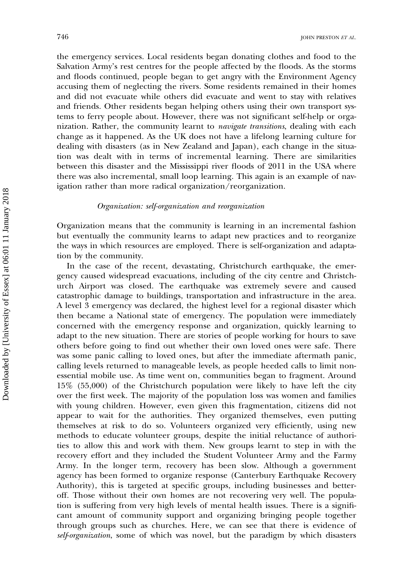the emergency services. Local residents began donating clothes and food to the Salvation Army's rest centres for the people affected by the floods. As the storms and floods continued, people began to get angry with the Environment Agency accusing them of neglecting the rivers. Some residents remained in their homes and did not evacuate while others did evacuate and went to stay with relatives and friends. Other residents began helping others using their own transport systems to ferry people about. However, there was not significant self-help or organization. Rather, the community learnt to *navigate transitions*, dealing with each change as it happened. As the UK does not have a lifelong learning culture for dealing with disasters (as in New Zealand and Japan), each change in the situation was dealt with in terms of incremental learning. There are similarities between this disaster and the Mississippi river floods of 2011 in the USA where there was also incremental, small loop learning. This again is an example of navigation rather than more radical organization/reorganization.

#### Organization: self-organization and reorganization

Organization means that the community is learning in an incremental fashion but eventually the community learns to adapt new practices and to reorganize the ways in which resources are employed. There is self-organization and adaptation by the community.

In the case of the recent, devastating, Christchurch earthquake, the emergency caused widespread evacuations, including of the city centre and Christchurch Airport was closed. The earthquake was extremely severe and caused catastrophic damage to buildings, transportation and infrastructure in the area. A level 3 emergency was declared, the highest level for a regional disaster which then became a National state of emergency. The population were immediately concerned with the emergency response and organization, quickly learning to adapt to the new situation. There are stories of people working for hours to save others before going to find out whether their own loved ones were safe. There was some panic calling to loved ones, but after the immediate aftermath panic, calling levels returned to manageable levels, as people heeded calls to limit nonessential mobile use. As time went on, communities began to fragment. Around 15% (55,000) of the Christchurch population were likely to have left the city over the first week. The majority of the population loss was women and families with young children. However, even given this fragmentation, citizens did not appear to wait for the authorities. They organized themselves, even putting themselves at risk to do so. Volunteers organized very efficiently, using new methods to educate volunteer groups, despite the initial reluctance of authorities to allow this and work with them. New groups learnt to step in with the recovery effort and they included the Student Volunteer Army and the Farmy Army. In the longer term, recovery has been slow. Although a government agency has been formed to organize response (Canterbury Earthquake Recovery Authority), this is targeted at specific groups, including businesses and betteroff. Those without their own homes are not recovering very well. The population is suffering from very high levels of mental health issues. There is a significant amount of community support and organizing bringing people together through groups such as churches. Here, we can see that there is evidence of self-organization, some of which was novel, but the paradigm by which disasters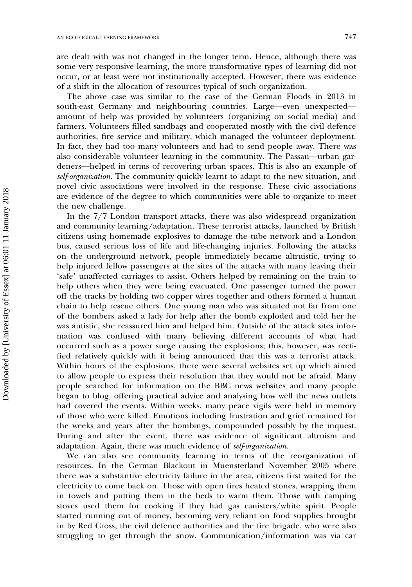are dealt with was not changed in the longer term. Hence, although there was some very responsive learning, the more transformative types of learning did not occur, or at least were not institutionally accepted. However, there was evidence of a shift in the allocation of resources typical of such organization.

The above case was similar to the case of the German Floods in 2013 in south-east Germany and neighbouring countries. Large—even unexpected amount of help was provided by volunteers (organizing on social media) and farmers. Volunteers filled sandbags and cooperated mostly with the civil defence authorities, fire service and military, which managed the volunteer deployment. In fact, they had too many volunteers and had to send people away. There was also considerable volunteer learning in the community. The Passau—urban gardeners—helped in terms of recovering urban spaces. This is also an example of self-organization. The community quickly learnt to adapt to the new situation, and novel civic associations were involved in the response. These civic associations are evidence of the degree to which communities were able to organize to meet the new challenge.

In the 7/7 London transport attacks, there was also widespread organization and community learning/adaptation. These terrorist attacks, launched by British citizens using homemade explosives to damage the tube network and a London bus, caused serious loss of life and life-changing injuries. Following the attacks on the underground network, people immediately became altruistic, trying to help injured fellow passengers at the sites of the attacks with many leaving their 'safe' unaffected carriages to assist. Others helped by remaining on the train to help others when they were being evacuated. One passenger turned the power off the tracks by holding two copper wires together and others formed a human chain to help rescue others. One young man who was situated not far from one of the bombers asked a lady for help after the bomb exploded and told her he was autistic, she reassured him and helped him. Outside of the attack sites information was confused with many believing different accounts of what had occurred such as a power surge causing the explosions; this, however, was rectified relatively quickly with it being announced that this was a terrorist attack. Within hours of the explosions, there were several websites set up which aimed to allow people to express their resolution that they would not be afraid. Many people searched for information on the BBC news websites and many people began to blog, offering practical advice and analysing how well the news outlets had covered the events. Within weeks, many peace vigils were held in memory of those who were killed. Emotions including frustration and grief remained for the weeks and years after the bombings, compounded possibly by the inquest. During and after the event, there was evidence of significant altruism and adaptation. Again, there was much evidence of self-organization.

We can also see community learning in terms of the reorganization of resources. In the German Blackout in Muensterland November 2005 where there was a substantive electricity failure in the area, citizens first waited for the electricity to come back on. Those with open fires heated stones, wrapping them in towels and putting them in the beds to warm them. Those with camping stoves used them for cooking if they had gas canisters/white spirit. People started running out of money, becoming very reliant on food supplies brought in by Red Cross, the civil defence authorities and the fire brigade, who were also struggling to get through the snow. Communication/information was via car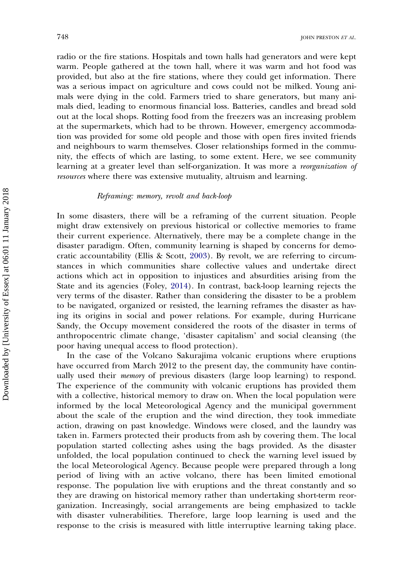radio or the fire stations. Hospitals and town halls had generators and were kept warm. People gathered at the town hall, where it was warm and hot food was provided, but also at the fire stations, where they could get information. There was a serious impact on agriculture and cows could not be milked. Young animals were dying in the cold. Farmers tried to share generators, but many animals died, leading to enormous financial loss. Batteries, candles and bread sold out at the local shops. Rotting food from the freezers was an increasing problem at the supermarkets, which had to be thrown. However, emergency accommodation was provided for some old people and those with open fires invited friends and neighbours to warm themselves. Closer relationships formed in the community, the effects of which are lasting, to some extent. Here, we see community learning at a greater level than self-organization. It was more a *reorganization of* resources where there was extensive mutuality, altruism and learning.

#### Reframing: memory, revolt and back-loop

In some disasters, there will be a reframing of the current situation. People might draw extensively on previous historical or collective memories to frame their current experience. Alternatively, there may be a complete change in the disaster paradigm. Often, community learning is shaped by concerns for demo-cratic accountability (Ellis & Scott, [2003](#page-27-0)). By revolt, we are referring to circumstances in which communities share collective values and undertake direct actions which act in opposition to injustices and absurdities arising from the State and its agencies (Foley, [2014](#page-27-0)). In contrast, back-loop learning rejects the very terms of the disaster. Rather than considering the disaster to be a problem to be navigated, organized or resisted, the learning reframes the disaster as having its origins in social and power relations. For example, during Hurricane Sandy, the Occupy movement considered the roots of the disaster in terms of anthropocentric climate change, 'disaster capitalism' and social cleansing (the poor having unequal access to flood protection).

In the case of the Volcano Sakurajima volcanic eruptions where eruptions have occurred from March 2012 to the present day, the community have continually used their memory of previous disasters (large loop learning) to respond. The experience of the community with volcanic eruptions has provided them with a collective, historical memory to draw on. When the local population were informed by the local Meteorological Agency and the municipal government about the scale of the eruption and the wind direction, they took immediate action, drawing on past knowledge. Windows were closed, and the laundry was taken in. Farmers protected their products from ash by covering them. The local population started collecting ashes using the bags provided. As the disaster unfolded, the local population continued to check the warning level issued by the local Meteorological Agency. Because people were prepared through a long period of living with an active volcano, there has been limited emotional response. The population live with eruptions and the threat constantly and so they are drawing on historical memory rather than undertaking short-term reorganization. Increasingly, social arrangements are being emphasized to tackle with disaster vulnerabilities. Therefore, large loop learning is used and the response to the crisis is measured with little interruptive learning taking place.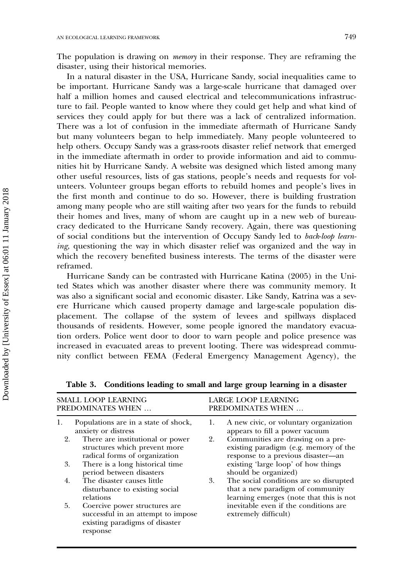<span id="page-23-0"></span>The population is drawing on *memory* in their response. They are reframing the disaster, using their historical memories.

In a natural disaster in the USA, Hurricane Sandy, social inequalities came to be important. Hurricane Sandy was a large-scale hurricane that damaged over half a million homes and caused electrical and telecommunications infrastructure to fail. People wanted to know where they could get help and what kind of services they could apply for but there was a lack of centralized information. There was a lot of confusion in the immediate aftermath of Hurricane Sandy but many volunteers began to help immediately. Many people volunteered to help others. Occupy Sandy was a grass-roots disaster relief network that emerged in the immediate aftermath in order to provide information and aid to communities hit by Hurricane Sandy. A website was designed which listed among many other useful resources, lists of gas stations, people's needs and requests for volunteers. Volunteer groups began efforts to rebuild homes and people's lives in the first month and continue to do so. However, there is building frustration among many people who are still waiting after two years for the funds to rebuild their homes and lives, many of whom are caught up in a new web of bureaucracy dedicated to the Hurricane Sandy recovery. Again, there was questioning of social conditions but the intervention of Occupy Sandy led to back-loop learning, questioning the way in which disaster relief was organized and the way in which the recovery benefited business interests. The terms of the disaster were reframed.

Hurricane Sandy can be contrasted with Hurricane Katina (2005) in the United States which was another disaster where there was community memory. It was also a significant social and economic disaster. Like Sandy, Katrina was a severe Hurricane which caused property damage and large-scale population displacement. The collapse of the system of levees and spillways displaced thousands of residents. However, some people ignored the mandatory evacuation orders. Police went door to door to warn people and police presence was increased in evacuated areas to prevent looting. There was widespread community conflict between FEMA (Federal Emergency Management Agency), the

|    | SMALL LOOP LEARNING<br>PREDOMINATES WHEN                                                                          | <b>LARGE LOOP LEARNING</b><br><b>PREDOMINATES WHEN </b> |                                                                                                                       |
|----|-------------------------------------------------------------------------------------------------------------------|---------------------------------------------------------|-----------------------------------------------------------------------------------------------------------------------|
| 1. | Populations are in a state of shock,<br>anxiety or distress                                                       | 1.                                                      | A new civic, or voluntary organization<br>appears to fill a power vacuum                                              |
| 2. | There are institutional or power<br>structures which prevent more<br>radical forms of organization                | 2.                                                      | Communities are drawing on a pre-<br>existing paradigm (e.g. memory of the<br>response to a previous disaster-an      |
| 3. | There is a long historical time<br>period between disasters                                                       |                                                         | existing 'large loop' of how things<br>should be organized)                                                           |
| 4. | The disaster causes little<br>disturbance to existing social<br>relations                                         | 3.                                                      | The social conditions are so disrupted<br>that a new paradigm of community<br>learning emerges (note that this is not |
| 5. | Coercive power structures are<br>successful in an attempt to impose<br>existing paradigms of disaster<br>response |                                                         | inevitable even if the conditions are<br>extremely difficult)                                                         |

Table 3. Conditions leading to small and large group learning in a disaster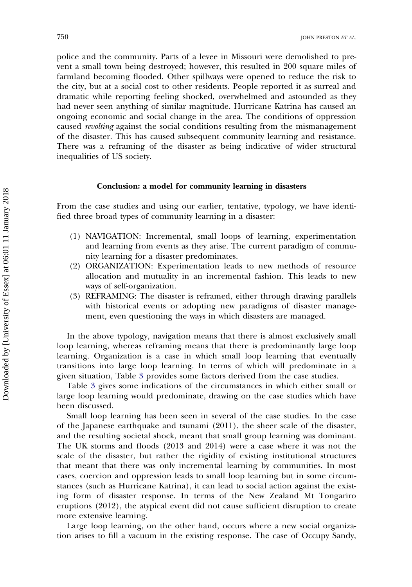police and the community. Parts of a levee in Missouri were demolished to prevent a small town being destroyed; however, this resulted in 200 square miles of farmland becoming flooded. Other spillways were opened to reduce the risk to the city, but at a social cost to other residents. People reported it as surreal and dramatic while reporting feeling shocked, overwhelmed and astounded as they had never seen anything of similar magnitude. Hurricane Katrina has caused an ongoing economic and social change in the area. The conditions of oppression caused revolting against the social conditions resulting from the mismanagement of the disaster. This has caused subsequent community learning and resistance. There was a reframing of the disaster as being indicative of wider structural inequalities of US society.

#### Conclusion: a model for community learning in disasters

From the case studies and using our earlier, tentative, typology, we have identified three broad types of community learning in a disaster:

- (1) NAVIGATION: Incremental, small loops of learning, experimentation and learning from events as they arise. The current paradigm of community learning for a disaster predominates.
- (2) ORGANIZATION: Experimentation leads to new methods of resource allocation and mutuality in an incremental fashion. This leads to new ways of self-organization.
- (3) REFRAMING: The disaster is reframed, either through drawing parallels with historical events or adopting new paradigms of disaster management, even questioning the ways in which disasters are managed.

In the above typology, navigation means that there is almost exclusively small loop learning, whereas reframing means that there is predominantly large loop learning. Organization is a case in which small loop learning that eventually transitions into large loop learning. In terms of which will predominate in a given situation, Table [3](#page-23-0) provides some factors derived from the case studies.

Table [3](#page-23-0) gives some indications of the circumstances in which either small or large loop learning would predominate, drawing on the case studies which have been discussed.

Small loop learning has been seen in several of the case studies. In the case of the Japanese earthquake and tsunami (2011), the sheer scale of the disaster, and the resulting societal shock, meant that small group learning was dominant. The UK storms and floods (2013 and 2014) were a case where it was not the scale of the disaster, but rather the rigidity of existing institutional structures that meant that there was only incremental learning by communities. In most cases, coercion and oppression leads to small loop learning but in some circumstances (such as Hurricane Katrina), it can lead to social action against the existing form of disaster response. In terms of the New Zealand Mt Tongariro eruptions (2012), the atypical event did not cause sufficient disruption to create more extensive learning.

Large loop learning, on the other hand, occurs where a new social organization arises to fill a vacuum in the existing response. The case of Occupy Sandy,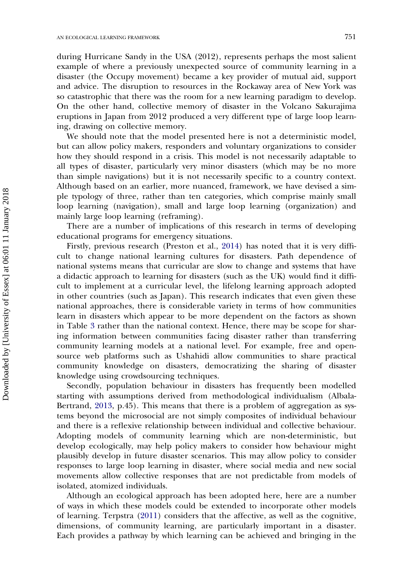during Hurricane Sandy in the USA (2012), represents perhaps the most salient example of where a previously unexpected source of community learning in a disaster (the Occupy movement) became a key provider of mutual aid, support and advice. The disruption to resources in the Rockaway area of New York was so catastrophic that there was the room for a new learning paradigm to develop. On the other hand, collective memory of disaster in the Volcano Sakurajima eruptions in Japan from 2012 produced a very different type of large loop learning, drawing on collective memory.

We should note that the model presented here is not a deterministic model, but can allow policy makers, responders and voluntary organizations to consider how they should respond in a crisis. This model is not necessarily adaptable to all types of disaster, particularly very minor disasters (which may be no more than simple navigations) but it is not necessarily specific to a country context. Although based on an earlier, more nuanced, framework, we have devised a simple typology of three, rather than ten categories, which comprise mainly small loop learning (navigation), small and large loop learning (organization) and mainly large loop learning (reframing).

There are a number of implications of this research in terms of developing educational programs for emergency situations.

Firstly, previous research (Preston et al., [2014](#page-27-0)) has noted that it is very difficult to change national learning cultures for disasters. Path dependence of national systems means that curricular are slow to change and systems that have a didactic approach to learning for disasters (such as the UK) would find it difficult to implement at a curricular level, the lifelong learning approach adopted in other countries (such as Japan). This research indicates that even given these national approaches, there is considerable variety in terms of how communities learn in disasters which appear to be more dependent on the factors as shown in Table [3](#page-23-0) rather than the national context. Hence, there may be scope for sharing information between communities facing disaster rather than transferring community learning models at a national level. For example, free and opensource web platforms such as Ushahidi allow communities to share practical community knowledge on disasters, democratizing the sharing of disaster knowledge using crowdsourcing techniques.

Secondly, population behaviour in disasters has frequently been modelled starting with assumptions derived from methodological individualism (Albala-Bertrand, [2013](#page-27-0), p.45). This means that there is a problem of aggregation as systems beyond the microsocial are not simply composites of individual behaviour and there is a reflexive relationship between individual and collective behaviour. Adopting models of community learning which are non-deterministic, but develop ecologically, may help policy makers to consider how behaviour might plausibly develop in future disaster scenarios. This may allow policy to consider responses to large loop learning in disaster, where social media and new social movements allow collective responses that are not predictable from models of isolated, atomized individuals.

Although an ecological approach has been adopted here, here are a number of ways in which these models could be extended to incorporate other models of learning. Terpstra [\(2011\)](#page-27-0) considers that the affective, as well as the cognitive, dimensions, of community learning, are particularly important in a disaster. Each provides a pathway by which learning can be achieved and bringing in the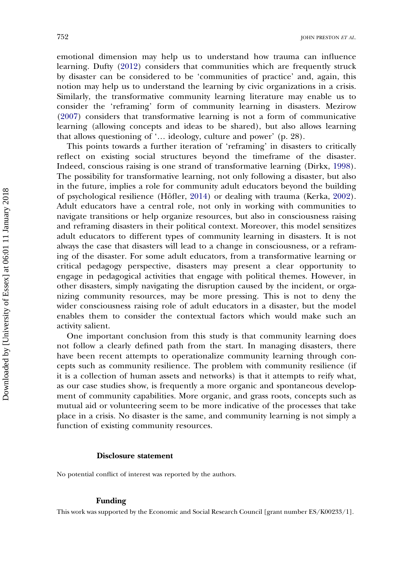emotional dimension may help us to understand how trauma can influence learning. Dufty [\(2012](#page-27-0)) considers that communities which are frequently struck by disaster can be considered to be 'communities of practice' and, again, this notion may help us to understand the learning by civic organizations in a crisis. Similarly, the transformative community learning literature may enable us to consider the 'reframing' form of community learning in disasters. Mezirow [\(2007](#page-27-0)) considers that transformative learning is not a form of communicative learning (allowing concepts and ideas to be shared), but also allows learning that allows questioning of '… ideology, culture and power' (p. 28).

This points towards a further iteration of 'reframing' in disasters to critically reflect on existing social structures beyond the timeframe of the disaster. Indeed, conscious raising is one strand of transformative learning (Dirkx, [1998\)](#page-27-0). The possibility for transformative learning, not only following a disaster, but also in the future, implies a role for community adult educators beyond the building of psychological resilience (Höfler, [2014](#page-27-0)) or dealing with trauma (Kerka, [2002\)](#page-27-0). Adult educators have a central role, not only in working with communities to navigate transitions or help organize resources, but also in consciousness raising and reframing disasters in their political context. Moreover, this model sensitizes adult educators to different types of community learning in disasters. It is not always the case that disasters will lead to a change in consciousness, or a reframing of the disaster. For some adult educators, from a transformative learning or critical pedagogy perspective, disasters may present a clear opportunity to engage in pedagogical activities that engage with political themes. However, in other disasters, simply navigating the disruption caused by the incident, or organizing community resources, may be more pressing. This is not to deny the wider consciousness raising role of adult educators in a disaster, but the model enables them to consider the contextual factors which would make such an activity salient.

One important conclusion from this study is that community learning does not follow a clearly defined path from the start. In managing disasters, there have been recent attempts to operationalize community learning through concepts such as community resilience. The problem with community resilience (if it is a collection of human assets and networks) is that it attempts to reify what, as our case studies show, is frequently a more organic and spontaneous development of community capabilities. More organic, and grass roots, concepts such as mutual aid or volunteering seem to be more indicative of the processes that take place in a crisis. No disaster is the same, and community learning is not simply a function of existing community resources.

#### Disclosure statement

No potential conflict of interest was reported by the authors.

#### Funding

This work was supported by the Economic and Social Research Council [grant number ES/K00233/1].